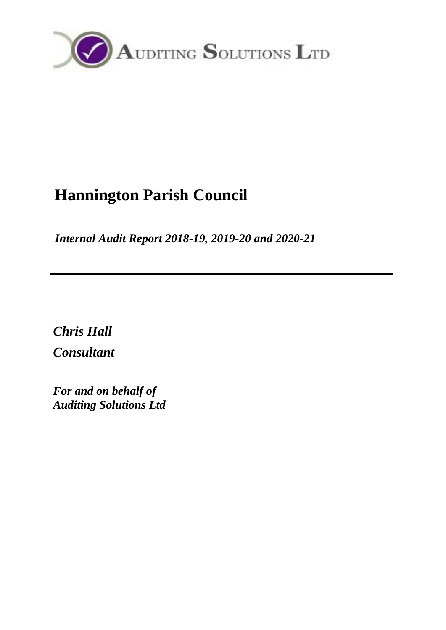

# **Hannington Parish Council**

*Internal Audit Report 2018-19, 2019-20 and 2020-21*

*Chris Hall Consultant*

*For and on behalf of Auditing Solutions Ltd*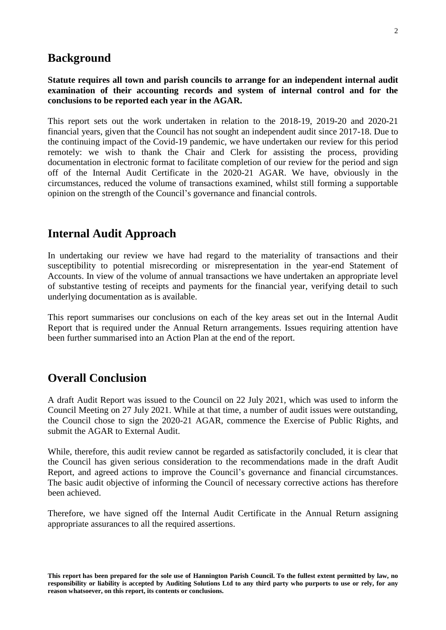### **Background**

#### **Statute requires all town and parish councils to arrange for an independent internal audit examination of their accounting records and system of internal control and for the conclusions to be reported each year in the AGAR.**

This report sets out the work undertaken in relation to the 2018-19, 2019-20 and 2020-21 financial years, given that the Council has not sought an independent audit since 2017-18. Due to the continuing impact of the Covid-19 pandemic, we have undertaken our review for this period remotely: we wish to thank the Chair and Clerk for assisting the process, providing documentation in electronic format to facilitate completion of our review for the period and sign off of the Internal Audit Certificate in the 2020-21 AGAR. We have, obviously in the circumstances, reduced the volume of transactions examined, whilst still forming a supportable opinion on the strength of the Council's governance and financial controls.

## **Internal Audit Approach**

In undertaking our review we have had regard to the materiality of transactions and their susceptibility to potential misrecording or misrepresentation in the year-end Statement of Accounts. In view of the volume of annual transactions we have undertaken an appropriate level of substantive testing of receipts and payments for the financial year, verifying detail to such underlying documentation as is available.

This report summarises our conclusions on each of the key areas set out in the Internal Audit Report that is required under the Annual Return arrangements. Issues requiring attention have been further summarised into an Action Plan at the end of the report.

## **Overall Conclusion**

A draft Audit Report was issued to the Council on 22 July 2021, which was used to inform the Council Meeting on 27 July 2021. While at that time, a number of audit issues were outstanding, the Council chose to sign the 2020-21 AGAR, commence the Exercise of Public Rights, and submit the AGAR to External Audit.

While, therefore, this audit review cannot be regarded as satisfactorily concluded, it is clear that the Council has given serious consideration to the recommendations made in the draft Audit Report, and agreed actions to improve the Council's governance and financial circumstances. The basic audit objective of informing the Council of necessary corrective actions has therefore been achieved.

Therefore, we have signed off the Internal Audit Certificate in the Annual Return assigning appropriate assurances to all the required assertions.

**This report has been prepared for the sole use of Hannington Parish Council. To the fullest extent permitted by law, no responsibility or liability is accepted by Auditing Solutions Ltd to any third party who purports to use or rely, for any reason whatsoever, on this report, its contents or conclusions.**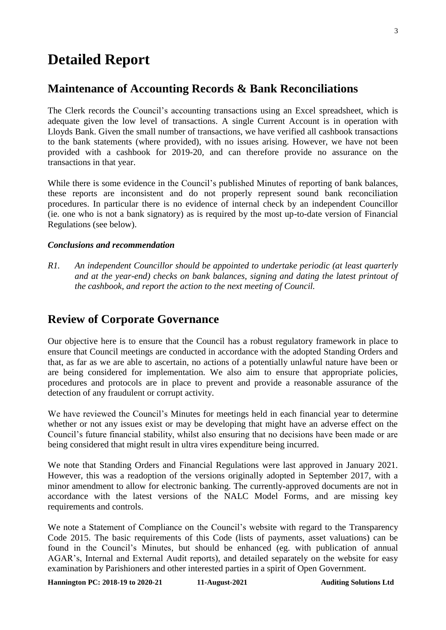## **Detailed Report**

## **Maintenance of Accounting Records & Bank Reconciliations**

The Clerk records the Council's accounting transactions using an Excel spreadsheet, which is adequate given the low level of transactions. A single Current Account is in operation with Lloyds Bank. Given the small number of transactions, we have verified all cashbook transactions to the bank statements (where provided), with no issues arising. However, we have not been provided with a cashbook for 2019-20, and can therefore provide no assurance on the transactions in that year.

While there is some evidence in the Council's published Minutes of reporting of bank balances, these reports are inconsistent and do not properly represent sound bank reconciliation procedures. In particular there is no evidence of internal check by an independent Councillor (ie. one who is not a bank signatory) as is required by the most up-to-date version of Financial Regulations (see below).

#### *Conclusions and recommendation*

*R1. An independent Councillor should be appointed to undertake periodic (at least quarterly and at the year-end) checks on bank balances, signing and dating the latest printout of the cashbook, and report the action to the next meeting of Council.*

## **Review of Corporate Governance**

Our objective here is to ensure that the Council has a robust regulatory framework in place to ensure that Council meetings are conducted in accordance with the adopted Standing Orders and that, as far as we are able to ascertain, no actions of a potentially unlawful nature have been or are being considered for implementation. We also aim to ensure that appropriate policies, procedures and protocols are in place to prevent and provide a reasonable assurance of the detection of any fraudulent or corrupt activity.

We have reviewed the Council's Minutes for meetings held in each financial year to determine whether or not any issues exist or may be developing that might have an adverse effect on the Council's future financial stability, whilst also ensuring that no decisions have been made or are being considered that might result in ultra vires expenditure being incurred.

We note that Standing Orders and Financial Regulations were last approved in January 2021. However, this was a readoption of the versions originally adopted in September 2017, with a minor amendment to allow for electronic banking. The currently-approved documents are not in accordance with the latest versions of the NALC Model Forms, and are missing key requirements and controls.

We note a Statement of Compliance on the Council's website with regard to the Transparency Code 2015. The basic requirements of this Code (lists of payments, asset valuations) can be found in the Council's Minutes, but should be enhanced (eg. with publication of annual AGAR's, Internal and External Audit reports), and detailed separately on the website for easy examination by Parishioners and other interested parties in a spirit of Open Government.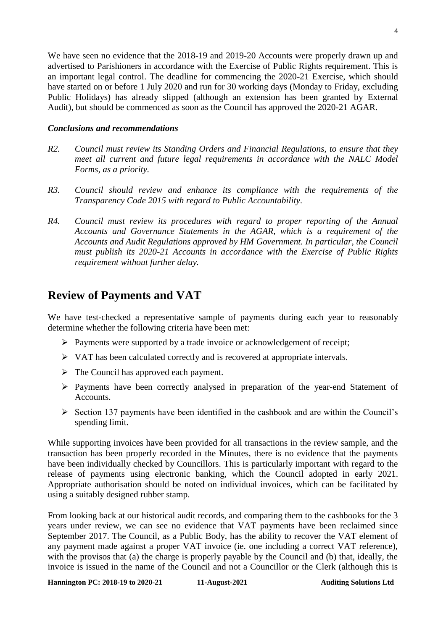We have seen no evidence that the 2018-19 and 2019-20 Accounts were properly drawn up and advertised to Parishioners in accordance with the Exercise of Public Rights requirement. This is an important legal control. The deadline for commencing the 2020-21 Exercise, which should have started on or before 1 July 2020 and run for 30 working days (Monday to Friday, excluding Public Holidays) has already slipped (although an extension has been granted by External Audit), but should be commenced as soon as the Council has approved the 2020-21 AGAR.

#### *Conclusions and recommendations*

- *R2. Council must review its Standing Orders and Financial Regulations, to ensure that they meet all current and future legal requirements in accordance with the NALC Model Forms, as a priority.*
- *R3. Council should review and enhance its compliance with the requirements of the Transparency Code 2015 with regard to Public Accountability.*
- *R4. Council must review its procedures with regard to proper reporting of the Annual Accounts and Governance Statements in the AGAR, which is a requirement of the Accounts and Audit Regulations approved by HM Government. In particular, the Council must publish its 2020-21 Accounts in accordance with the Exercise of Public Rights requirement without further delay.*

## **Review of Payments and VAT**

We have test-checked a representative sample of payments during each year to reasonably determine whether the following criteria have been met:

- $\triangleright$  Payments were supported by a trade invoice or acknowledgement of receipt;
- $\triangleright$  VAT has been calculated correctly and is recovered at appropriate intervals.
- $\triangleright$  The Council has approved each payment.
- Payments have been correctly analysed in preparation of the year-end Statement of Accounts.
- $\triangleright$  Section 137 payments have been identified in the cashbook and are within the Council's spending limit.

While supporting invoices have been provided for all transactions in the review sample, and the transaction has been properly recorded in the Minutes, there is no evidence that the payments have been individually checked by Councillors. This is particularly important with regard to the release of payments using electronic banking, which the Council adopted in early 2021. Appropriate authorisation should be noted on individual invoices, which can be facilitated by using a suitably designed rubber stamp.

From looking back at our historical audit records, and comparing them to the cashbooks for the 3 years under review, we can see no evidence that VAT payments have been reclaimed since September 2017. The Council, as a Public Body, has the ability to recover the VAT element of any payment made against a proper VAT invoice (ie. one including a correct VAT reference), with the provisos that (a) the charge is properly payable by the Council and (b) that, ideally, the invoice is issued in the name of the Council and not a Councillor or the Clerk (although this is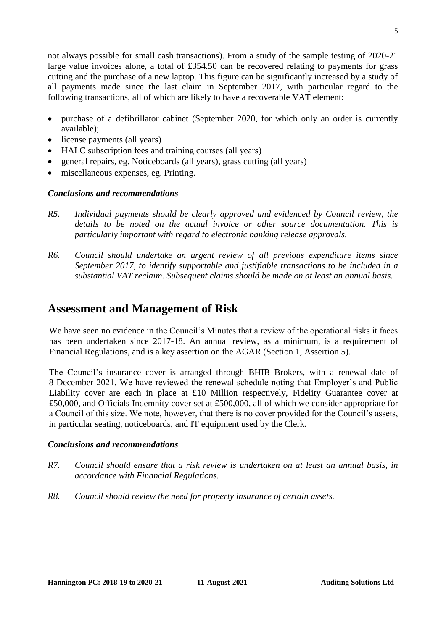not always possible for small cash transactions). From a study of the sample testing of 2020-21 large value invoices alone, a total of £354.50 can be recovered relating to payments for grass cutting and the purchase of a new laptop. This figure can be significantly increased by a study of all payments made since the last claim in September 2017, with particular regard to the following transactions, all of which are likely to have a recoverable VAT element:

- purchase of a defibrillator cabinet (September 2020, for which only an order is currently available);
- license payments (all years)
- HALC subscription fees and training courses (all years)
- general repairs, eg. Noticeboards (all years), grass cutting (all years)
- miscellaneous expenses, eg. Printing.

#### *Conclusions and recommendations*

- *R5. Individual payments should be clearly approved and evidenced by Council review, the*  details to be noted on the actual invoice or other source documentation. This is *particularly important with regard to electronic banking release approvals.*
- *R6. Council should undertake an urgent review of all previous expenditure items since September 2017, to identify supportable and justifiable transactions to be included in a substantial VAT reclaim. Subsequent claims should be made on at least an annual basis.*

## **Assessment and Management of Risk**

We have seen no evidence in the Council's Minutes that a review of the operational risks it faces has been undertaken since 2017-18. An annual review, as a minimum, is a requirement of Financial Regulations, and is a key assertion on the AGAR (Section 1, Assertion 5).

The Council's insurance cover is arranged through BHIB Brokers, with a renewal date of 8 December 2021. We have reviewed the renewal schedule noting that Employer's and Public Liability cover are each in place at £10 Million respectively, Fidelity Guarantee cover at £50,000, and Officials Indemnity cover set at £500,000, all of which we consider appropriate for a Council of this size. We note, however, that there is no cover provided for the Council's assets, in particular seating, noticeboards, and IT equipment used by the Clerk.

#### *Conclusions and recommendations*

- *R7. Council should ensure that a risk review is undertaken on at least an annual basis, in accordance with Financial Regulations.*
- *R8. Council should review the need for property insurance of certain assets.*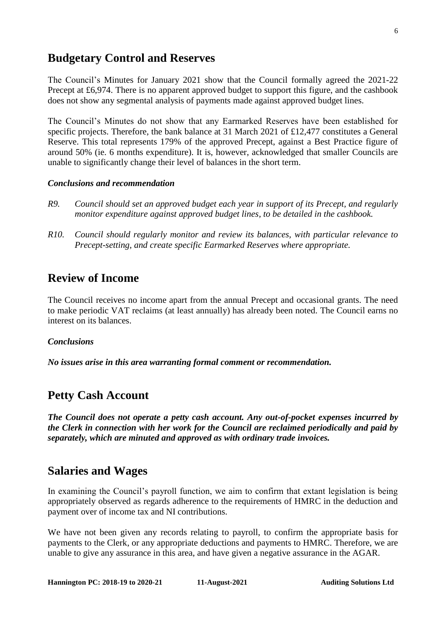## **Budgetary Control and Reserves**

The Council's Minutes for January 2021 show that the Council formally agreed the 2021-22 Precept at £6,974. There is no apparent approved budget to support this figure, and the cashbook does not show any segmental analysis of payments made against approved budget lines.

The Council's Minutes do not show that any Earmarked Reserves have been established for specific projects. Therefore, the bank balance at 31 March 2021 of £12,477 constitutes a General Reserve. This total represents 179% of the approved Precept, against a Best Practice figure of around 50% (ie. 6 months expenditure). It is, however, acknowledged that smaller Councils are unable to significantly change their level of balances in the short term.

#### *Conclusions and recommendation*

- *R9. Council should set an approved budget each year in support of its Precept, and regularly monitor expenditure against approved budget lines, to be detailed in the cashbook.*
- *R10. Council should regularly monitor and review its balances, with particular relevance to Precept-setting, and create specific Earmarked Reserves where appropriate.*

## **Review of Income**

The Council receives no income apart from the annual Precept and occasional grants. The need to make periodic VAT reclaims (at least annually) has already been noted. The Council earns no interest on its balances.

#### *Conclusions*

*No issues arise in this area warranting formal comment or recommendation.*

## **Petty Cash Account**

*The Council does not operate a petty cash account. Any out-of-pocket expenses incurred by the Clerk in connection with her work for the Council are reclaimed periodically and paid by separately, which are minuted and approved as with ordinary trade invoices.*

### **Salaries and Wages**

In examining the Council's payroll function, we aim to confirm that extant legislation is being appropriately observed as regards adherence to the requirements of HMRC in the deduction and payment over of income tax and NI contributions.

We have not been given any records relating to payroll, to confirm the appropriate basis for payments to the Clerk, or any appropriate deductions and payments to HMRC. Therefore, we are unable to give any assurance in this area, and have given a negative assurance in the AGAR.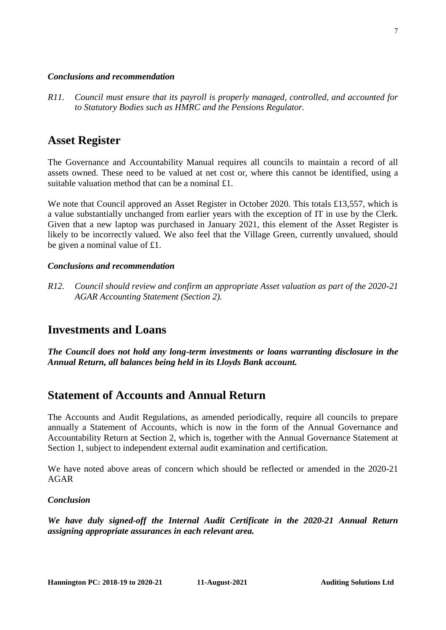#### *Conclusions and recommendation*

*R11. Council must ensure that its payroll is properly managed, controlled, and accounted for to Statutory Bodies such as HMRC and the Pensions Regulator.*

## **Asset Register**

The Governance and Accountability Manual requires all councils to maintain a record of all assets owned. These need to be valued at net cost or, where this cannot be identified, using a suitable valuation method that can be a nominal £1.

We note that Council approved an Asset Register in October 2020. This totals £13,557, which is a value substantially unchanged from earlier years with the exception of IT in use by the Clerk. Given that a new laptop was purchased in January 2021, this element of the Asset Register is likely to be incorrectly valued. We also feel that the Village Green, currently unvalued, should be given a nominal value of £1.

#### *Conclusions and recommendation*

*R12. Council should review and confirm an appropriate Asset valuation as part of the 2020-21 AGAR Accounting Statement (Section 2).*

## **Investments and Loans**

*The Council does not hold any long-term investments or loans warranting disclosure in the Annual Return, all balances being held in its Lloyds Bank account.*

## **Statement of Accounts and Annual Return**

The Accounts and Audit Regulations, as amended periodically, require all councils to prepare annually a Statement of Accounts, which is now in the form of the Annual Governance and Accountability Return at Section 2, which is, together with the Annual Governance Statement at Section 1, subject to independent external audit examination and certification.

We have noted above areas of concern which should be reflected or amended in the 2020-21 AGAR

#### *Conclusion*

*We have duly signed-off the Internal Audit Certificate in the 2020-21 Annual Return assigning appropriate assurances in each relevant area.*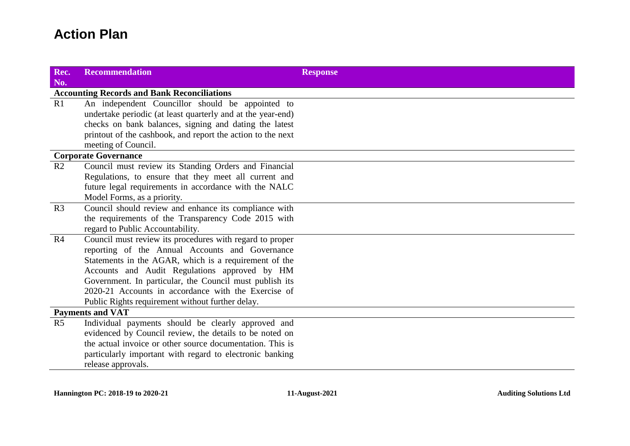## **Action Plan**

| Rec.<br>No.                                        | <b>Recommendation</b>                                       | <b>Response</b> |  |
|----------------------------------------------------|-------------------------------------------------------------|-----------------|--|
| <b>Accounting Records and Bank Reconciliations</b> |                                                             |                 |  |
| R1                                                 | An independent Councillor should be appointed to            |                 |  |
|                                                    | undertake periodic (at least quarterly and at the year-end) |                 |  |
|                                                    | checks on bank balances, signing and dating the latest      |                 |  |
|                                                    | printout of the cashbook, and report the action to the next |                 |  |
|                                                    | meeting of Council.                                         |                 |  |
| <b>Corporate Governance</b>                        |                                                             |                 |  |
| R <sub>2</sub>                                     | Council must review its Standing Orders and Financial       |                 |  |
|                                                    | Regulations, to ensure that they meet all current and       |                 |  |
|                                                    | future legal requirements in accordance with the NALC       |                 |  |
|                                                    | Model Forms, as a priority.                                 |                 |  |
| R <sub>3</sub>                                     | Council should review and enhance its compliance with       |                 |  |
|                                                    | the requirements of the Transparency Code 2015 with         |                 |  |
|                                                    | regard to Public Accountability.                            |                 |  |
| R <sub>4</sub>                                     | Council must review its procedures with regard to proper    |                 |  |
|                                                    | reporting of the Annual Accounts and Governance             |                 |  |
|                                                    | Statements in the AGAR, which is a requirement of the       |                 |  |
|                                                    | Accounts and Audit Regulations approved by HM               |                 |  |
|                                                    | Government. In particular, the Council must publish its     |                 |  |
|                                                    | 2020-21 Accounts in accordance with the Exercise of         |                 |  |
|                                                    | Public Rights requirement without further delay.            |                 |  |
| <b>Payments and VAT</b>                            |                                                             |                 |  |
| R <sub>5</sub>                                     | Individual payments should be clearly approved and          |                 |  |
|                                                    | evidenced by Council review, the details to be noted on     |                 |  |
|                                                    | the actual invoice or other source documentation. This is   |                 |  |
|                                                    | particularly important with regard to electronic banking    |                 |  |
|                                                    | release approvals.                                          |                 |  |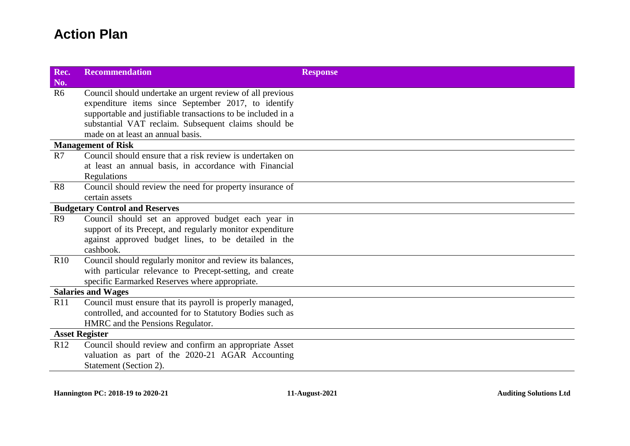## **Action Plan**

| Rec.<br>No.                           | <b>Recommendation</b>                                        | <b>Response</b> |  |
|---------------------------------------|--------------------------------------------------------------|-----------------|--|
| R <sub>6</sub>                        | Council should undertake an urgent review of all previous    |                 |  |
|                                       | expenditure items since September 2017, to identify          |                 |  |
|                                       | supportable and justifiable transactions to be included in a |                 |  |
|                                       | substantial VAT reclaim. Subsequent claims should be         |                 |  |
|                                       | made on at least an annual basis.                            |                 |  |
| <b>Management of Risk</b>             |                                                              |                 |  |
| R7                                    | Council should ensure that a risk review is undertaken on    |                 |  |
|                                       | at least an annual basis, in accordance with Financial       |                 |  |
|                                       | Regulations                                                  |                 |  |
| R8                                    | Council should review the need for property insurance of     |                 |  |
|                                       | certain assets                                               |                 |  |
| <b>Budgetary Control and Reserves</b> |                                                              |                 |  |
| R9                                    | Council should set an approved budget each year in           |                 |  |
|                                       | support of its Precept, and regularly monitor expenditure    |                 |  |
|                                       | against approved budget lines, to be detailed in the         |                 |  |
|                                       | cashbook.                                                    |                 |  |
| R10                                   | Council should regularly monitor and review its balances,    |                 |  |
|                                       | with particular relevance to Precept-setting, and create     |                 |  |
|                                       | specific Earmarked Reserves where appropriate.               |                 |  |
| <b>Salaries and Wages</b>             |                                                              |                 |  |
| R11                                   | Council must ensure that its payroll is properly managed,    |                 |  |
|                                       | controlled, and accounted for to Statutory Bodies such as    |                 |  |
|                                       | HMRC and the Pensions Regulator.                             |                 |  |
| <b>Asset Register</b>                 |                                                              |                 |  |
| R <sub>12</sub>                       | Council should review and confirm an appropriate Asset       |                 |  |
|                                       | valuation as part of the 2020-21 AGAR Accounting             |                 |  |
|                                       | Statement (Section 2).                                       |                 |  |